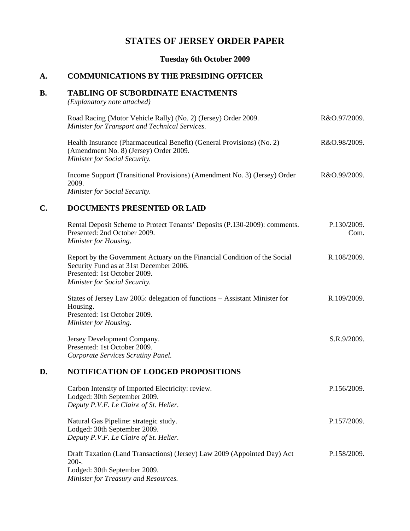# **STATES OF JERSEY ORDER PAPER**

**Tuesday 6th October 2009**

### **A. COMMUNICATIONS BY THE PRESIDING OFFICER**

### **B. TABLING OF SUBORDINATE ENACTMENTS**

*(Explanatory note attached)*

| Road Racing (Motor Vehicle Rally) (No. 2) (Jersey) Order 2009.<br>Minister for Transport and Technical Services.                                         | R&O.97/2009. |
|----------------------------------------------------------------------------------------------------------------------------------------------------------|--------------|
| Health Insurance (Pharmaceutical Benefit) (General Provisions) (No. 2)<br>(Amendment No. 8) (Jersey) Order 2009.<br><b>Minister for Social Security.</b> | R&O.98/2009. |
| Income Support (Transitional Provisions) (Amendment No. 3) (Jersey) Order<br>2009.<br>Minister for Social Security.                                      | R&O.99/2009. |

## **C. DOCUMENTS PRESENTED OR LAID**

|    | Rental Deposit Scheme to Protect Tenants' Deposits (P.130-2009): comments.<br>Presented: 2nd October 2009.<br>Minister for Housing.                                                   | P.130/2009.<br>Com. |
|----|---------------------------------------------------------------------------------------------------------------------------------------------------------------------------------------|---------------------|
|    | Report by the Government Actuary on the Financial Condition of the Social<br>Security Fund as at 31st December 2006.<br>Presented: 1st October 2009.<br>Minister for Social Security. | R.108/2009.         |
|    | States of Jersey Law 2005: delegation of functions – Assistant Minister for<br>Housing.<br>Presented: 1st October 2009.<br>Minister for Housing.                                      | R.109/2009.         |
|    | Jersey Development Company.<br>Presented: 1st October 2009.<br>Corporate Services Scrutiny Panel.                                                                                     | S.R.9/2009.         |
| D. | <b>NOTIFICATION OF LODGED PROPOSITIONS</b>                                                                                                                                            |                     |
|    | Carbon Intensity of Imported Electricity: review.<br>Lodged: 30th September 2009.<br>Deputy P.V.F. Le Claire of St. Helier.                                                           | P.156/2009.         |
|    | Natural Gas Pipeline: strategic study.                                                                                                                                                | P.157/2009.         |

Lodged: 30th September 2009. *Deputy P.V.F. Le Claire of St. Helier.*

Draft Taxation (Land Transactions) (Jersey) Law 2009 (Appointed Day) Act 200-. Lodged: 30th September 2009. *Minister for Treasury and Resources.* P.158/2009.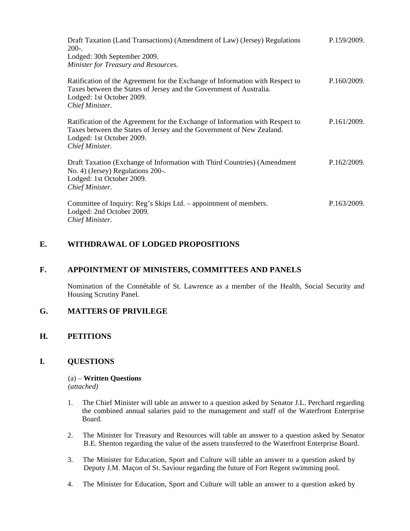| Draft Taxation (Land Transactions) (Amendment of Law) (Jersey) Regulations<br>$200-.$<br>Lodged: 30th September 2009.<br>Minister for Treasury and Resources.                                          | P.159/2009. |
|--------------------------------------------------------------------------------------------------------------------------------------------------------------------------------------------------------|-------------|
| Ratification of the Agreement for the Exchange of Information with Respect to<br>Taxes between the States of Jersey and the Government of Australia.<br>Lodged: 1st October 2009.<br>Chief Minister.   | P.160/2009. |
| Ratification of the Agreement for the Exchange of Information with Respect to<br>Taxes between the States of Jersey and the Government of New Zealand.<br>Lodged: 1st October 2009.<br>Chief Minister. | P.161/2009. |
| Draft Taxation (Exchange of Information with Third Countries) (Amendment<br>No. 4) (Jersey) Regulations 200-.<br>Lodged: 1st October 2009.<br>Chief Minister.                                          | P.162/2009. |
| Committee of Inquiry: Reg's Skips Ltd. – appointment of members.<br>Lodged: 2nd October 2009.<br>Chief Minister.                                                                                       | P.163/2009. |

# **E. WITHDRAWAL OF LODGED PROPOSITIONS**

## **F. APPOINTMENT OF MINISTERS, COMMITTEES AND PANELS**

Nomination of the Connétable of St. Lawrence as a member of the Health, Social Security and Housing Scrutiny Panel.

## **G. MATTERS OF PRIVILEGE**

## **H. PETITIONS**

## **I. QUESTIONS**

#### (a) – **Written Questions** *(attached)*

1. The Chief Minister will table an answer to a question asked by Senator J.L. Perchard regarding the combined annual salaries paid to the management and staff of the Waterfront Enterprise Board.

- 2. The Minister for Treasury and Resources will table an answer to a question asked by Senator B.E. Shenton regarding the value of the assets transferred to the Waterfront Enterprise Board.
- 3. The Minister for Education, Sport and Culture will table an answer to a question asked by Deputy J.M. Maçon of St. Saviour regarding the future of Fort Regent swimming pool.
- 4. The Minister for Education, Sport and Culture will table an answer to a question asked by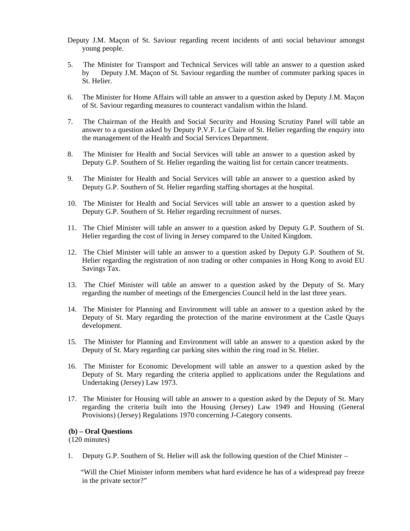- Deputy J.M. Maçon of St. Saviour regarding recent incidents of anti social behaviour amongst young people.
- 5. The Minister for Transport and Technical Services will table an answer to a question asked by Deputy J.M. Maçon of St. Saviour regarding the number of commuter parking spaces in St. Helier.
- 6. The Minister for Home Affairs will table an answer to a question asked by Deputy J.M. Maçon of St. Saviour regarding measures to counteract vandalism within the Island.
- 7. The Chairman of the Health and Social Security and Housing Scrutiny Panel will table an answer to a question asked by Deputy P.V.F. Le Claire of St. Helier regarding the enquiry into the management of the Health and Social Services Department.
- 8. The Minister for Health and Social Services will table an answer to a question asked by Deputy G.P. Southern of St. Helier regarding the waiting list for certain cancer treatments.
- 9. The Minister for Health and Social Services will table an answer to a question asked by Deputy G.P. Southern of St. Helier regarding staffing shortages at the hospital.
- 10. The Minister for Health and Social Services will table an answer to a question asked by Deputy G.P. Southern of St. Helier regarding recruitment of nurses.
- 11. The Chief Minister will table an answer to a question asked by Deputy G.P. Southern of St. Helier regarding the cost of living in Jersey compared to the United Kingdom.
- 12. The Chief Minister will table an answer to a question asked by Deputy G.P. Southern of St. Helier regarding the registration of non trading or other companies in Hong Kong to avoid EU Savings Tax.
- 13. The Chief Minister will table an answer to a question asked by the Deputy of St. Mary regarding the number of meetings of the Emergencies Council held in the last three years.
- 14. The Minister for Planning and Environment will table an answer to a question asked by the Deputy of St. Mary regarding the protection of the marine environment at the Castle Quays development.
- 15. The Minister for Planning and Environment will table an answer to a question asked by the Deputy of St. Mary regarding car parking sites within the ring road in St. Helier.
- 16. The Minister for Economic Development will table an answer to a question asked by the Deputy of St. Mary regarding the criteria applied to applications under the Regulations and Undertaking (Jersey) Law 1973.
- 17. The Minister for Housing will table an answer to a question asked by the Deputy of St. Mary regarding the criteria built into the Housing (Jersey) Law 1949 and Housing (General Provisions) (Jersey) Regulations 1970 concerning J-Category consents.

#### **(b) – Oral Questions**

(120 minutes)

1. Deputy G.P. Southern of St. Helier will ask the following question of the Chief Minister –

 "Will the Chief Minister inform members what hard evidence he has of a widespread pay freeze in the private sector?"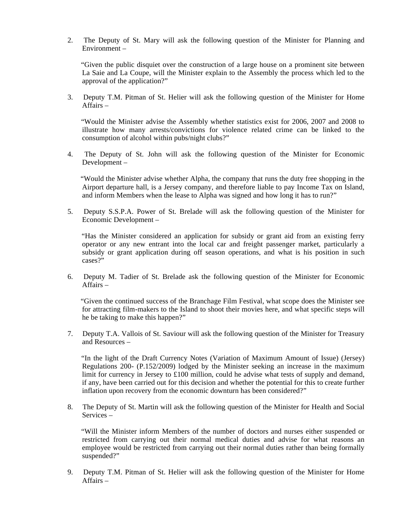2. The Deputy of St. Mary will ask the following question of the Minister for Planning and Environment –

 "Given the public disquiet over the construction of a large house on a prominent site between La Saie and La Coupe, will the Minister explain to the Assembly the process which led to the approval of the application?"

3. Deputy T.M. Pitman of St. Helier will ask the following question of the Minister for Home Affairs –

 "Would the Minister advise the Assembly whether statistics exist for 2006, 2007 and 2008 to illustrate how many arrests/convictions for violence related crime can be linked to the consumption of alcohol within pubs/night clubs?"

4. The Deputy of St. John will ask the following question of the Minister for Economic Development –

 "Would the Minister advise whether Alpha, the company that runs the duty free shopping in the Airport departure hall, is a Jersey company, and therefore liable to pay Income Tax on Island, and inform Members when the lease to Alpha was signed and how long it has to run?"

5. Deputy S.S.P.A. Power of St. Brelade will ask the following question of the Minister for Economic Development –

 "Has the Minister considered an application for subsidy or grant aid from an existing ferry operator or any new entrant into the local car and freight passenger market, particularly a subsidy or grant application during off season operations, and what is his position in such cases?"

6. Deputy M. Tadier of St. Brelade ask the following question of the Minister for Economic Affairs –

 "Given the continued success of the Branchage Film Festival, what scope does the Minister see for attracting film-makers to the Island to shoot their movies here, and what specific steps will he be taking to make this happen?"

7. Deputy T.A. Vallois of St. Saviour will ask the following question of the Minister for Treasury and Resources –

 "In the light of the Draft Currency Notes (Variation of Maximum Amount of Issue) (Jersey) Regulations 200- (P.152/2009) lodged by the Minister seeking an increase in the maximum limit for currency in Jersey to £100 million, could he advise what tests of supply and demand, if any, have been carried out for this decision and whether the potential for this to create further inflation upon recovery from the economic downturn has been considered?"

8. The Deputy of St. Martin will ask the following question of the Minister for Health and Social Services –

 "Will the Minister inform Members of the number of doctors and nurses either suspended or restricted from carrying out their normal medical duties and advise for what reasons an employee would be restricted from carrying out their normal duties rather than being formally suspended?"

9. Deputy T.M. Pitman of St. Helier will ask the following question of the Minister for Home Affairs –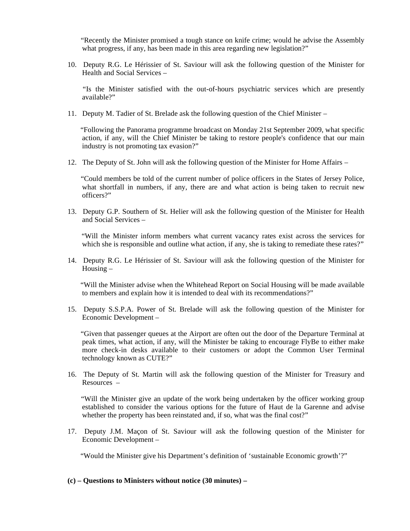"Recently the Minister promised a tough stance on knife crime; would he advise the Assembly what progress, if any, has been made in this area regarding new legislation?"

10. Deputy R.G. Le Hérissier of St. Saviour will ask the following question of the Minister for Health and Social Services –

 "Is the Minister satisfied with the out-of-hours psychiatric services which are presently available?"

11. Deputy M. Tadier of St. Brelade ask the following question of the Chief Minister –

 "Following the Panorama programme broadcast on Monday 21st September 2009, what specific action, if any, will the Chief Minister be taking to restore people's confidence that our main industry is not promoting tax evasion?"

12. The Deputy of St. John will ask the following question of the Minister for Home Affairs –

 "Could members be told of the current number of police officers in the States of Jersey Police, what shortfall in numbers, if any, there are and what action is being taken to recruit new officers?"

13. Deputy G.P. Southern of St. Helier will ask the following question of the Minister for Health and Social Services –

 "Will the Minister inform members what current vacancy rates exist across the services for which she is responsible and outline what action, if any, she is taking to remediate these rates?"

14. Deputy R.G. Le Hérissier of St. Saviour will ask the following question of the Minister for Housing –

 "Will the Minister advise when the Whitehead Report on Social Housing will be made available to members and explain how it is intended to deal with its recommendations?"

15. Deputy S.S.P.A. Power of St. Brelade will ask the following question of the Minister for Economic Development –

 "Given that passenger queues at the Airport are often out the door of the Departure Terminal at peak times, what action, if any, will the Minister be taking to encourage FlyBe to either make more check-in desks available to their customers or adopt the Common User Terminal technology known as CUTE?"

16. The Deputy of St. Martin will ask the following question of the Minister for Treasury and Resources –

 "Will the Minister give an update of the work being undertaken by the officer working group established to consider the various options for the future of Haut de la Garenne and advise whether the property has been reinstated and, if so, what was the final cost?"

17. Deputy J.M. Maçon of St. Saviour will ask the following question of the Minister for Economic Development –

"Would the Minister give his Department's definition of 'sustainable Economic growth'?"

**(c) – Questions to Ministers without notice (30 minutes) –**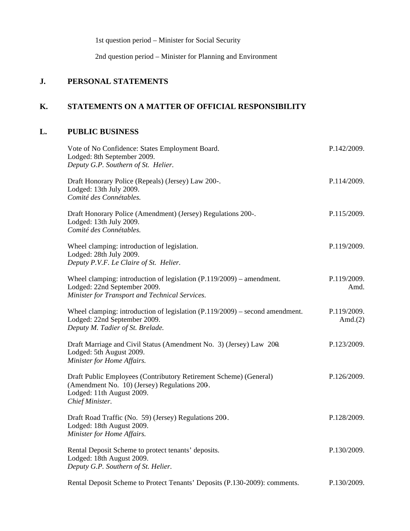1st question period – Minister for Social Security

2nd question period – Minister for Planning and Environment

# **J. PERSONAL STATEMENTS**

# **K. STATEMENTS ON A MATTER OF OFFICIAL RESPONSIBILITY**

# **L. PUBLIC BUSINESS**

| Vote of No Confidence: States Employment Board.<br>Lodged: 8th September 2009.<br>Deputy G.P. Southern of St. Helier.                                             | P.142/2009.               |
|-------------------------------------------------------------------------------------------------------------------------------------------------------------------|---------------------------|
| Draft Honorary Police (Repeals) (Jersey) Law 200-.<br>Lodged: 13th July 2009.<br>Comité des Connétables.                                                          | P.114/2009.               |
| Draft Honorary Police (Amendment) (Jersey) Regulations 200-.<br>Lodged: 13th July 2009.<br>Comité des Connétables.                                                | P.115/2009.               |
| Wheel clamping: introduction of legislation.<br>Lodged: 28th July 2009.<br>Deputy P.V.F. Le Claire of St. Helier.                                                 | P.119/2009.               |
| Wheel clamping: introduction of legislation $(P.119/2009)$ – amendment.<br>Lodged: 22nd September 2009.<br>Minister for Transport and Technical Services.         | P.119/2009.<br>Amd.       |
| Wheel clamping: introduction of legislation $(P.119/2009)$ – second amendment.<br>Lodged: 22nd September 2009.<br>Deputy M. Tadier of St. Brelade.                | P.119/2009.<br>Amd. $(2)$ |
| Draft Marriage and Civil Status (Amendment No. 3) (Jersey) Law 200.<br>Lodged: 5th August 2009.<br>Minister for Home Affairs.                                     | P.123/2009.               |
| Draft Public Employees (Contributory Retirement Scheme) (General)<br>(Amendment No. 10) (Jersey) Regulations 200.<br>Lodged: 11th August 2009.<br>Chief Minister. | P.126/2009.               |
| Draft Road Traffic (No. 59) (Jersey) Regulations 200.<br>Lodged: 18th August 2009.<br>Minister for Home Affairs.                                                  | P.128/2009.               |
| Rental Deposit Scheme to protect tenants' deposits.<br>Lodged: 18th August 2009.<br>Deputy G.P. Southern of St. Helier.                                           | P.130/2009.               |
| Rental Deposit Scheme to Protect Tenants' Deposits (P.130-2009): comments.                                                                                        | P.130/2009.               |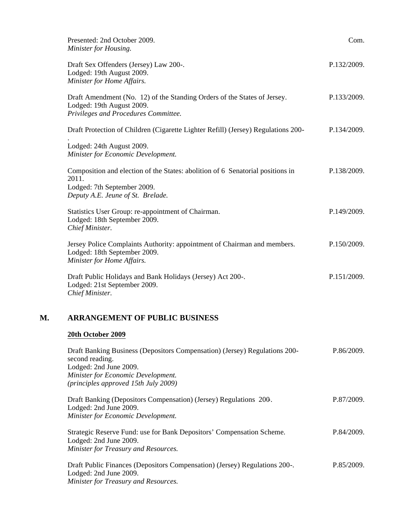|    | Presented: 2nd October 2009.<br>Minister for Housing.                                                                                                       | Com.        |
|----|-------------------------------------------------------------------------------------------------------------------------------------------------------------|-------------|
|    | Draft Sex Offenders (Jersey) Law 200-.<br>Lodged: 19th August 2009.<br>Minister for Home Affairs.                                                           | P.132/2009. |
|    | Draft Amendment (No. 12) of the Standing Orders of the States of Jersey.<br>Lodged: 19th August 2009.<br>Privileges and Procedures Committee.               | P.133/2009. |
|    | Draft Protection of Children (Cigarette Lighter Refill) (Jersey) Regulations 200-                                                                           | P.134/2009. |
|    | Lodged: 24th August 2009.<br>Minister for Economic Development.                                                                                             |             |
|    | Composition and election of the States: abolition of 6 Senatorial positions in<br>2011.<br>Lodged: 7th September 2009.<br>Deputy A.E. Jeune of St. Brelade. | P.138/2009. |
|    | Statistics User Group: re-appointment of Chairman.<br>Lodged: 18th September 2009.<br>Chief Minister.                                                       | P.149/2009. |
|    | Jersey Police Complaints Authority: appointment of Chairman and members.<br>Lodged: 18th September 2009.<br>Minister for Home Affairs.                      | P.150/2009. |
|    | Draft Public Holidays and Bank Holidays (Jersey) Act 200-.<br>Lodged: 21st September 2009.<br>Chief Minister.                                               | P.151/2009. |
| М. | <b>ARRANGEMENT OF PUBLIC BUSINESS</b>                                                                                                                       |             |
|    | 20th October 2009                                                                                                                                           |             |

| Draft Banking Business (Depositors Compensation) (Jersey) Regulations 200-<br>second reading.                                                | P.86/2009. |
|----------------------------------------------------------------------------------------------------------------------------------------------|------------|
| Lodged: 2nd June 2009.                                                                                                                       |            |
| Minister for Economic Development.                                                                                                           |            |
| (principles approved 15th July 2009)                                                                                                         |            |
| Draft Banking (Depositors Compensation) (Jersey) Regulations 200.<br>Lodged: 2nd June 2009.<br>Minister for Economic Development.            | P.87/2009. |
| Strategic Reserve Fund: use for Bank Depositors' Compensation Scheme.<br>Lodged: 2nd June 2009.<br>Minister for Treasury and Resources.      | P.84/2009. |
| Draft Public Finances (Depositors Compensation) (Jersey) Regulations 200-.<br>Lodged: 2nd June 2009.<br>Minister for Treasury and Resources. | P.85/2009. |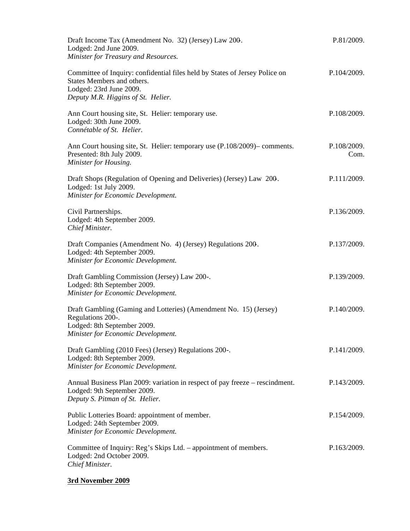| Draft Income Tax (Amendment No. 32) (Jersey) Law 200.<br>Lodged: 2nd June 2009.<br>Minister for Treasury and Resources.                                                    | P.81/2009.          |
|----------------------------------------------------------------------------------------------------------------------------------------------------------------------------|---------------------|
| Committee of Inquiry: confidential files held by States of Jersey Police on<br>States Members and others.<br>Lodged: 23rd June 2009.<br>Deputy M.R. Higgins of St. Helier. | P.104/2009.         |
| Ann Court housing site, St. Helier: temporary use.<br>Lodged: 30th June 2009.<br>Connétable of St. Helier.                                                                 | P.108/2009.         |
| Ann Court housing site, St. Helier: temporary use (P.108/2009)– comments.<br>Presented: 8th July 2009.<br>Minister for Housing.                                            | P.108/2009.<br>Com. |
| Draft Shops (Regulation of Opening and Deliveries) (Jersey) Law 200.<br>Lodged: 1st July 2009.<br>Minister for Economic Development.                                       | P.111/2009.         |
| Civil Partnerships.<br>Lodged: 4th September 2009.<br>Chief Minister.                                                                                                      | P.136/2009.         |
| Draft Companies (Amendment No. 4) (Jersey) Regulations 200.<br>Lodged: 4th September 2009.<br>Minister for Economic Development.                                           | P.137/2009.         |
| Draft Gambling Commission (Jersey) Law 200-.<br>Lodged: 8th September 2009.<br>Minister for Economic Development.                                                          | P.139/2009.         |
| Draft Gambling (Gaming and Lotteries) (Amendment No. 15) (Jersey)<br>Regulations 200-.<br>Lodged: 8th September 2009.<br>Minister for Economic Development.                | P.140/2009.         |
| Draft Gambling (2010 Fees) (Jersey) Regulations 200-.<br>Lodged: 8th September 2009.<br>Minister for Economic Development.                                                 | P.141/2009.         |
| Annual Business Plan 2009: variation in respect of pay freeze – rescindment.<br>Lodged: 9th September 2009.<br>Deputy S. Pitman of St. Helier.                             | P.143/2009.         |
| Public Lotteries Board: appointment of member.<br>Lodged: 24th September 2009.<br>Minister for Economic Development.                                                       | P.154/2009.         |
| Committee of Inquiry: Reg's Skips Ltd. – appointment of members.<br>Lodged: 2nd October 2009.<br>Chief Minister.                                                           | P.163/2009.         |

# **3rd November 2009**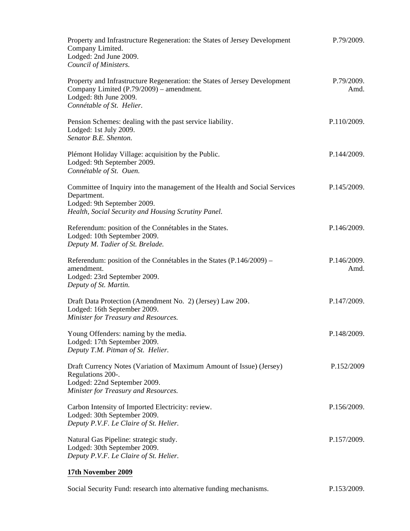| Property and Infrastructure Regeneration: the States of Jersey Development<br>Company Limited.<br>Lodged: 2nd June 2009.<br>Council of Ministers.                               | P.79/2009.          |
|---------------------------------------------------------------------------------------------------------------------------------------------------------------------------------|---------------------|
| Property and Infrastructure Regeneration: the States of Jersey Development<br>Company Limited (P.79/2009) – amendment.<br>Lodged: 8th June 2009.<br>Connétable of St. Helier.   | P.79/2009.<br>Amd.  |
| Pension Schemes: dealing with the past service liability.<br>Lodged: 1st July 2009.<br>Senator B.E. Shenton.                                                                    | P.110/2009.         |
| Plémont Holiday Village: acquisition by the Public.<br>Lodged: 9th September 2009.<br>Connétable of St. Ouen.                                                                   | P.144/2009.         |
| Committee of Inquiry into the management of the Health and Social Services<br>Department.<br>Lodged: 9th September 2009.<br>Health, Social Security and Housing Scrutiny Panel. | P.145/2009.         |
| Referendum: position of the Connétables in the States.<br>Lodged: 10th September 2009.<br>Deputy M. Tadier of St. Brelade.                                                      | P.146/2009.         |
| Referendum: position of the Connétables in the States (P.146/2009) –<br>amendment.<br>Lodged: 23rd September 2009.<br>Deputy of St. Martin.                                     | P.146/2009.<br>Amd. |
| Draft Data Protection (Amendment No. 2) (Jersey) Law 200.<br>Lodged: 16th September 2009.<br>Minister for Treasury and Resources.                                               | P.147/2009.         |
| Young Offenders: naming by the media.<br>Lodged: 17th September 2009.<br>Deputy T.M. Pitman of St. Helier.                                                                      | P.148/2009.         |
| Draft Currency Notes (Variation of Maximum Amount of Issue) (Jersey)<br>Regulations 200-.<br>Lodged: 22nd September 2009.<br>Minister for Treasury and Resources.               | P.152/2009          |
| Carbon Intensity of Imported Electricity: review.<br>Lodged: 30th September 2009.<br>Deputy P.V.F. Le Claire of St. Helier.                                                     | P.156/2009.         |
| Natural Gas Pipeline: strategic study.<br>Lodged: 30th September 2009.<br>Deputy P.V.F. Le Claire of St. Helier.                                                                | P.157/2009.         |

# **17th November 2009**

| Social Security Fund: research into alternative funding mechanisms. | P.153/2009. |
|---------------------------------------------------------------------|-------------|
|---------------------------------------------------------------------|-------------|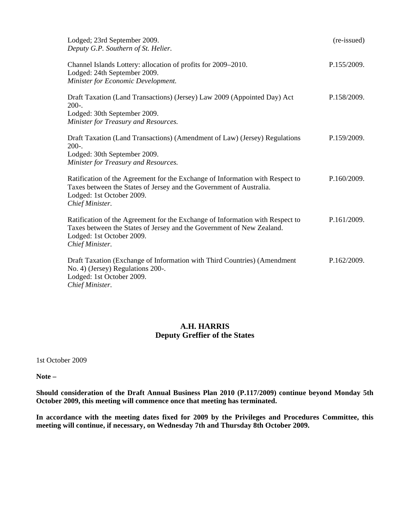| Lodged; 23rd September 2009.<br>Deputy G.P. Southern of St. Helier.                                                                                                                                    | (re-issued) |
|--------------------------------------------------------------------------------------------------------------------------------------------------------------------------------------------------------|-------------|
| Channel Islands Lottery: allocation of profits for 2009–2010.<br>Lodged: 24th September 2009.<br>Minister for Economic Development.                                                                    | P.155/2009. |
| Draft Taxation (Land Transactions) (Jersey) Law 2009 (Appointed Day) Act<br>$200-.$<br>Lodged: 30th September 2009.<br>Minister for Treasury and Resources.                                            | P.158/2009. |
| Draft Taxation (Land Transactions) (Amendment of Law) (Jersey) Regulations<br>$200-.$<br>Lodged: 30th September 2009.<br>Minister for Treasury and Resources.                                          | P.159/2009. |
| Ratification of the Agreement for the Exchange of Information with Respect to<br>Taxes between the States of Jersey and the Government of Australia.<br>Lodged: 1st October 2009.<br>Chief Minister.   | P.160/2009. |
| Ratification of the Agreement for the Exchange of Information with Respect to<br>Taxes between the States of Jersey and the Government of New Zealand.<br>Lodged: 1st October 2009.<br>Chief Minister. | P.161/2009. |
| Draft Taxation (Exchange of Information with Third Countries) (Amendment<br>No. 4) (Jersey) Regulations 200-.<br>Lodged: 1st October 2009.<br>Chief Minister.                                          | P.162/2009. |

## **A.H. HARRIS Deputy Greffier of the States**

1st October 2009

**Note –**

**Should consideration of the Draft Annual Business Plan 2010 (P.117/2009) continue beyond Monday 5th October 2009, this meeting will commence once that meeting has terminated.**

**In accordance with the meeting dates fixed for 2009 by the Privileges and Procedures Committee, this meeting will continue, if necessary, on Wednesday 7th and Thursday 8th October 2009.**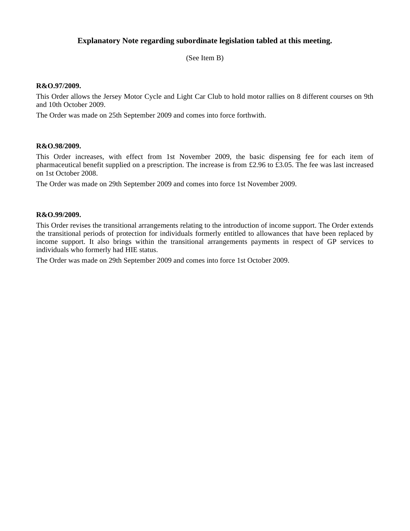## **Explanatory Note regarding subordinate legislation tabled at this meeting.**

(See Item B)

#### **R&O.97/2009.**

This Order allows the Jersey Motor Cycle and Light Car Club to hold motor rallies on 8 different courses on 9th and 10th October 2009.

The Order was made on 25th September 2009 and comes into force forthwith.

#### **R&O.98/2009.**

This Order increases, with effect from 1st November 2009, the basic dispensing fee for each item of pharmaceutical benefit supplied on a prescription. The increase is from £2.96 to £3.05. The fee was last increased on 1st October 2008.

The Order was made on 29th September 2009 and comes into force 1st November 2009.

#### **R&O.99/2009.**

This Order revises the transitional arrangements relating to the introduction of income support. The Order extends the transitional periods of protection for individuals formerly entitled to allowances that have been replaced by income support. It also brings within the transitional arrangements payments in respect of GP services to individuals who formerly had HIE status.

The Order was made on 29th September 2009 and comes into force 1st October 2009.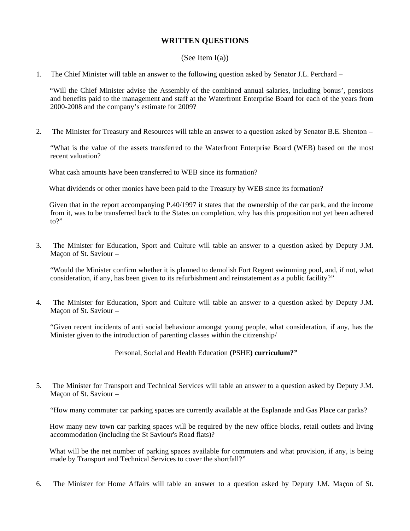## **WRITTEN QUESTIONS**

### (See Item  $I(a)$ )

1. The Chief Minister will table an answer to the following question asked by Senator J.L. Perchard –

 "Will the Chief Minister advise the Assembly of the combined annual salaries, including bonus', pensions and benefits paid to the management and staff at the Waterfront Enterprise Board for each of the years from 2000-2008 and the company's estimate for 2009?

2. The Minister for Treasury and Resources will table an answer to a question asked by Senator B.E. Shenton –

"What is the value of the assets transferred to the Waterfront Enterprise Board (WEB) based on the most recent valuation?

What cash amounts have been transferred to WEB since its formation?

What dividends or other monies have been paid to the Treasury by WEB since its formation?

 Given that in the report accompanying P.40/1997 it states that the ownership of the car park, and the income from it, was to be transferred back to the States on completion, why has this proposition not yet been adhered  $\mathsf{to} \mathsf{?}$ 

3. The Minister for Education, Sport and Culture will table an answer to a question asked by Deputy J.M. Maçon of St. Saviour –

"Would the Minister confirm whether it is planned to demolish Fort Regent swimming pool, and, if not, what consideration, if any, has been given to its refurbishment and reinstatement as a public facility?"

4. The Minister for Education, Sport and Culture will table an answer to a question asked by Deputy J.M. Maçon of St. Saviour –

"Given recent incidents of anti social behaviour amongst young people, what consideration, if any, has the Minister given to the introduction of parenting classes within the citizenship/

Personal, Social and Health Education **(**PSHE**) curriculum?"**

5. The Minister for Transport and Technical Services will table an answer to a question asked by Deputy J.M. Maçon of St. Saviour –

"How many commuter car parking spaces are currently available at the Esplanade and Gas Place car parks?

 How many new town car parking spaces will be required by the new office blocks, retail outlets and living accommodation (including the St Saviour's Road flats)?

What will be the net number of parking spaces available for commuters and what provision, if any, is being made by Transport and Technical Services to cover the shortfall?"

6. The Minister for Home Affairs will table an answer to a question asked by Deputy J.M. Maçon of St.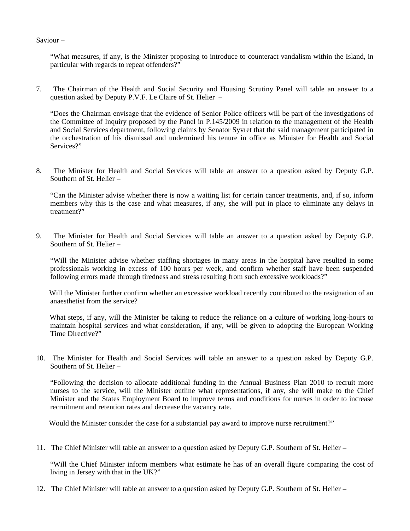Saviour –

"What measures, if any, is the Minister proposing to introduce to counteract vandalism within the Island, in particular with regards to repeat offenders?"

7. The Chairman of the Health and Social Security and Housing Scrutiny Panel will table an answer to a question asked by Deputy P.V.F. Le Claire of St. Helier –

"Does the Chairman envisage that the evidence of Senior Police officers will be part of the investigations of the Committee of Inquiry proposed by the Panel in P.145/2009 in relation to the management of the Health and Social Services department, following claims by Senator Syvret that the said management participated in the orchestration of his dismissal and undermined his tenure in office as Minister for Health and Social Services?"

8. The Minister for Health and Social Services will table an answer to a question asked by Deputy G.P. Southern of St. Helier –

"Can the Minister advise whether there is now a waiting list for certain cancer treatments, and, if so, inform members why this is the case and what measures, if any, she will put in place to eliminate any delays in treatment?"

9. The Minister for Health and Social Services will table an answer to a question asked by Deputy G.P. Southern of St. Helier –

"Will the Minister advise whether staffing shortages in many areas in the hospital have resulted in some professionals working in excess of 100 hours per week, and confirm whether staff have been suspended following errors made through tiredness and stress resulting from such excessive workloads?"

Will the Minister further confirm whether an excessive workload recently contributed to the resignation of an anaesthetist from the service?

 What steps, if any, will the Minister be taking to reduce the reliance on a culture of working long-hours to maintain hospital services and what consideration, if any, will be given to adopting the European Working Time Directive?"

10. The Minister for Health and Social Services will table an answer to a question asked by Deputy G.P. Southern of St. Helier –

 "Following the decision to allocate additional funding in the Annual Business Plan 2010 to recruit more nurses to the service, will the Minister outline what representations, if any, she will make to the Chief Minister and the States Employment Board to improve terms and conditions for nurses in order to increase recruitment and retention rates and decrease the vacancy rate.

Would the Minister consider the case for a substantial pay award to improve nurse recruitment?"

11. The Chief Minister will table an answer to a question asked by Deputy G.P. Southern of St. Helier –

"Will the Chief Minister inform members what estimate he has of an overall figure comparing the cost of living in Jersey with that in the UK?"

12. The Chief Minister will table an answer to a question asked by Deputy G.P. Southern of St. Helier –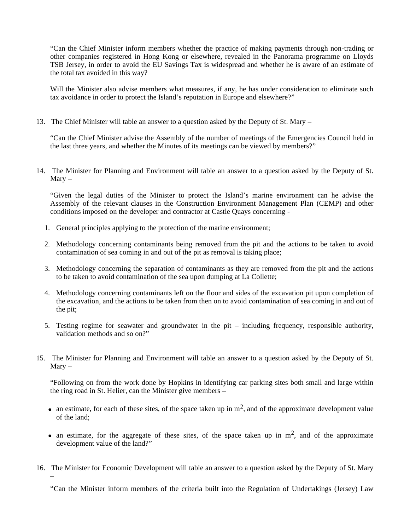"Can the Chief Minister inform members whether the practice of making payments through non-trading or other companies registered in Hong Kong or elsewhere, revealed in the Panorama programme on Lloyds TSB Jersey, in order to avoid the EU Savings Tax is widespread and whether he is aware of an estimate of the total tax avoided in this way?

Will the Minister also advise members what measures, if any, he has under consideration to eliminate such tax avoidance in order to protect the Island's reputation in Europe and elsewhere?"

13. The Chief Minister will table an answer to a question asked by the Deputy of St. Mary –

"Can the Chief Minister advise the Assembly of the number of meetings of the Emergencies Council held in the last three years, and whether the Minutes of its meetings can be viewed by members?"

14. The Minister for Planning and Environment will table an answer to a question asked by the Deputy of St.  $Marv -$ 

"Given the legal duties of the Minister to protect the Island's marine environment can he advise the Assembly of the relevant clauses in the Construction Environment Management Plan (CEMP) and other conditions imposed on the developer and contractor at Castle Quays concerning -

- 1. General principles applying to the protection of the marine environment;
- 2. Methodology concerning contaminants being removed from the pit and the actions to be taken to avoid contamination of sea coming in and out of the pit as removal is taking place;
- 3. Methodology concerning the separation of contaminants as they are removed from the pit and the actions to be taken to avoid contamination of the sea upon dumping at La Collette;
- 4. Methodology concerning contaminants left on the floor and sides of the excavation pit upon completion of the excavation, and the actions to be taken from then on to avoid contamination of sea coming in and out of the pit;
- 5. Testing regime for seawater and groundwater in the pit including frequency, responsible authority, validation methods and so on?"
- 15. The Minister for Planning and Environment will table an answer to a question asked by the Deputy of St.  $Marv -$

"Following on from the work done by Hopkins in identifying car parking sites both small and large within the ring road in St. Helier, can the Minister give members –

- an estimate, for each of these sites, of the space taken up in  $m^2$ , and of the approximate development value of the land;
- an estimate, for the aggregate of these sites, of the space taken up in  $m<sup>2</sup>$ , and of the approximate development value of the land?"
- 16. The Minister for Economic Development will table an answer to a question asked by the Deputy of St. Mary –

"Can the Minister inform members of the criteria built into the Regulation of Undertakings (Jersey) Law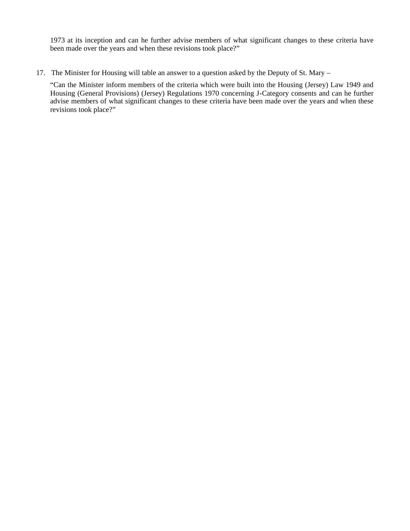1973 at its inception and can he further advise members of what significant changes to these criteria have been made over the years and when these revisions took place?"

17. The Minister for Housing will table an answer to a question asked by the Deputy of St. Mary –

"Can the Minister inform members of the criteria which were built into the Housing (Jersey) Law 1949 and Housing (General Provisions) (Jersey) Regulations 1970 concerning J-Category consents and can he further advise members of what significant changes to these criteria have been made over the years and when these revisions took place?"